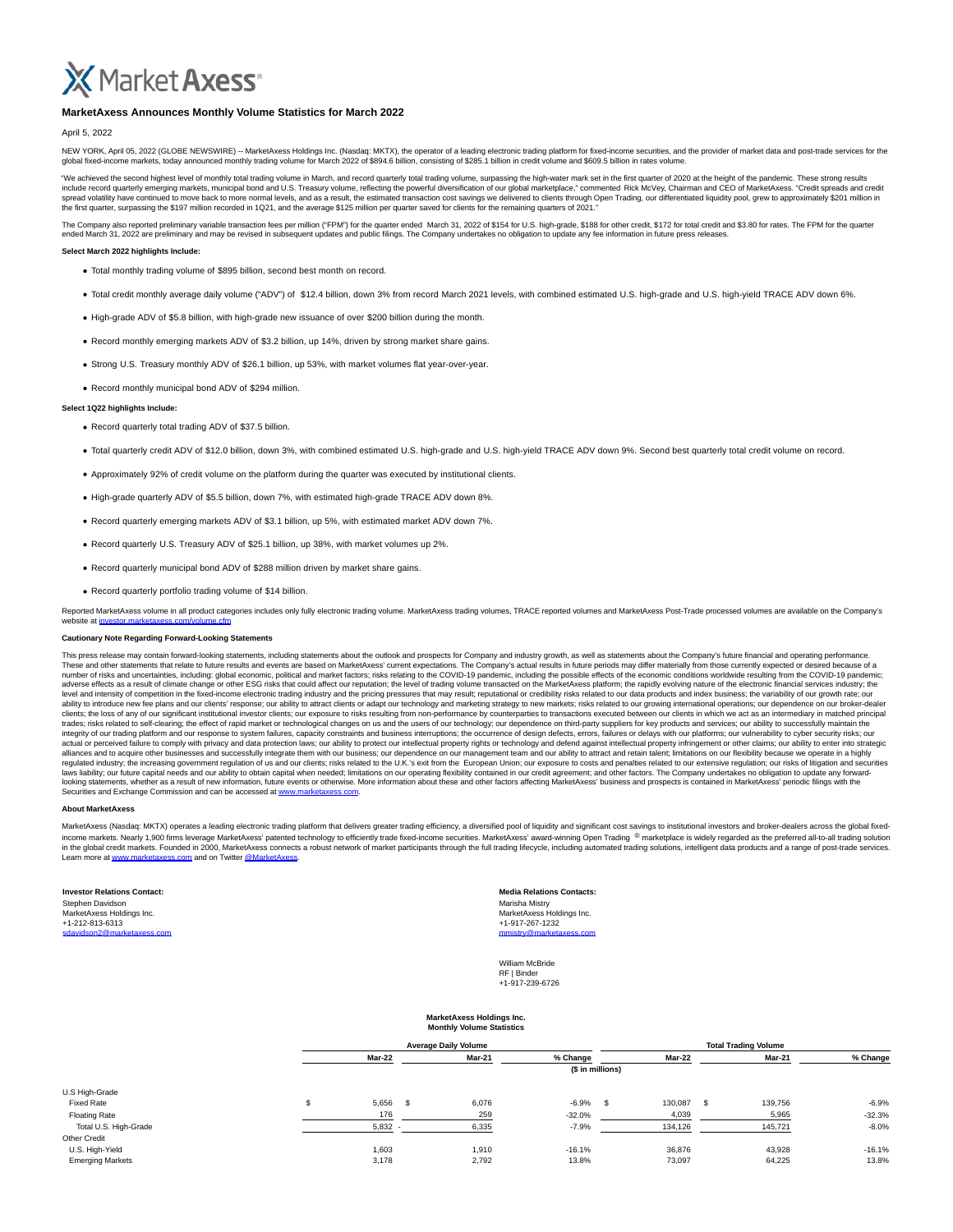# **X** Market Axess<sup>®</sup>

# **MarketAxess Announces Monthly Volume Statistics for March 2022**

## April 5, 2022

NEW YORK, April 05, 2022 (GLOBE NEWSWIRE) -- MarketAxess Holdings Inc. (Nasdaq: MKTX), the operator of a leading electronic trading platform for fixed-income securities, and the provider of market data and post-trade servi global fixed-income markets, today announced monthly trading volume for March 2022 of \$894.6 billion, consisting of \$285.1 billion in credit volume and \$609.5 billion in rates volume

"We achieved the second highest level of monthly total trading volume in March, and record quarterly total trading volume, surpassing the high-water mark set in the first quarter of 2020 at the height of the pandemic. Thes include record quarterly emerging markets, municipal bond and U.S. Treasury volume, reflecting the powerful diversification of our global marketplace," commented Rick McVey, Chairman and CEO of MarketAxess. "Credit spreads

The Company also reported preliminary variable transaction fees per million ("FPM") for the quarter ended March 31, 2022 of \$154 for U.S. high-grade, \$188 for other credit, \$172 for total credit and \$3.80 for rates. The FP

# **Select March 2022 highlights Include:**

- Total monthly trading volume of \$895 billion, second best month on record.
- . Total credit monthly average daily volume ("ADV") of \$12.4 billion, down 3% from record March 2021 levels, with combined estimated U.S. high-grade and U.S. high-yield TRACE ADV down 6%.
- High-grade ADV of \$5.8 billion, with high-grade new issuance of over \$200 billion during the month.
- Record monthly emerging markets ADV of \$3.2 billion, up 14%, driven by strong market share gains.
- Strong U.S. Treasury monthly ADV of \$26.1 billion, up 53%, with market volumes flat year-over-year.
- Record monthly municipal bond ADV of \$294 million.

## **Select 1Q22 highlights Include:**

- Record quarterly total trading ADV of \$37.5 billion.
- . Total quarterly credit ADV of \$12.0 billion, down 3%, with combined estimated U.S. high-grade and U.S. high-yield TRACE ADV down 9%. Second best quarterly total credit volume on record.
- Approximately 92% of credit volume on the platform during the quarter was executed by institutional clients.
- High-grade quarterly ADV of \$5.5 billion, down 7%, with estimated high-grade TRACE ADV down 8%.
- Record quarterly emerging markets ADV of \$3.1 billion, up 5%, with estimated market ADV down 7%.
- Record quarterly U.S. Treasury ADV of \$25.1 billion, up 38%, with market volumes up 2%.
- Record quarterly municipal bond ADV of \$288 million driven by market share gains.
- Record quarterly portfolio trading volume of \$14 billion.

Reported MarketAxess volume in all product categories includes only fully electronic trading volume. MarketAxess trading volumes, TRACE reported volumes and MarketAxess Post-Trade processed volumes are available on the Com website at in

### **Cautionary Note Regarding Forward-Looking Statements**

This press release may contain forward-looking statements, including statements about the outlook and prospects for Company and industry growth, as well as statements about the Company's future financial and operating perf These and other statements that relate to future results and events are based on MarketAxess' current expectations. The Company's actual results in future periods may differ materially from those currently expected or desi adverse effects as a result of climate change or other ESG risks that could affect our reputation; the level of trading volume transacted on the MarketAxess platform; the rapidly evolving nature of the electronic financial level and intensity of competition in the fixed-income electronic trading industry and the pricing pressures that may result; reputational or credibility risks related to our data products and index business; the variabili ability to introduce new fee plans and our clients' response; our ability to attract clients or adapt our technology and marketing strategy to new markets; risks related to our growing international operations; our depende trades; risks related to self-clearing; the effect of rapid market or technological changes on us and the users of our technology; our dependence on third-party suppliers for key products and services; our ability to succe alliances and to acquire other businesses and successfully integrate them with our business; our dependence on our management team and our ability to attract and retain talent; limitations on our flexibility because we ope Securities and Exchange Commission and can be accessed at www.marketaxess.com

#### **About MarketAxess**

MarketAxess (Nasdag: MKTX) operates a leading electronic trading platform that delivers greater trading efficiency, a diversified pool of liquidity and significant cost savings to institutional investors and broker-dealers income markets. Nearly 1,900 firms leverage MarketAxess' patented technology to efficiently trade fixed-income securities. MarketAxess' award-winning Open Trading Per Trading ® marketplace is widely regarded as the preferr in the global credit markets. Founded in 2000, MarketAxess connects a robust network of market particle and a redit market particle and a redit market particle and a reduce that in the global credit market particle and a r Learn more at [www.marketaxess.com a](https://www.globenewswire.com/Tracker?data=RxU9N1TrXenQdxCM2qH926maodxYr09nsNFKwdflKP9fjScTCa0omPMWhyR9uZ3mEbAdzQZRSo1geE_wsAU1Dq9uwR00TyMXRa-3J6dF4zQ=)nd on Twitter @MarketAxess

**Investor Relations Contact: Media Relations Contacts:** Stephen Davidson MarketAxess Holdings Inc. +1-212-813-6313 [sdavidson2@marketaxess.com](mailto:sdavidson2@marketaxess.com)

# Marisha Mistry MarketAxess Holdings Inc. +1-917-267-1232 [mmistry@marketaxess.com](mailto:mmistry@marketaxess.com)

William McBride RF | Binder +1-917-239-6726

#### **MarketAxess Holdings Inc. Monthly Volume Statistics**

|                         |                  | <b>Average Daily Volume</b> |               |          |               | <b>Total Trading Volume</b> |                   |  |  |
|-------------------------|------------------|-----------------------------|---------------|----------|---------------|-----------------------------|-------------------|--|--|
|                         |                  | Mar-22                      | <b>Mar-21</b> | % Change | <b>Mar-22</b> | Mar-21                      | % Change          |  |  |
|                         | (\$ in millions) |                             |               |          |               |                             |                   |  |  |
| U.S High-Grade          |                  |                             |               |          |               |                             |                   |  |  |
| <b>Fixed Rate</b>       | а                | 5,656<br>- 35               | 6,076         | $-6.9%$  | 130,087<br>S  | 139.756                     | $-6.9%$           |  |  |
| <b>Floating Rate</b>    |                  | 176                         | 259           | $-32.0%$ | 4,039         |                             | 5,965<br>$-32.3%$ |  |  |
| Total U.S. High-Grade   |                  | 5,832                       | 6,335         | $-7.9%$  | 134,126       | 145,721                     | $-8.0\%$          |  |  |
| Other Credit            |                  |                             |               |          |               |                             |                   |  |  |
| U.S. High-Yield         |                  | 1,603                       | 1,910         | $-16.1%$ | 36,876        | 43,928                      | $-16.1%$          |  |  |
| <b>Emerging Markets</b> |                  | 3,178                       | 2,792         | 13.8%    | 73,097        | 64,225                      | 13.8%             |  |  |